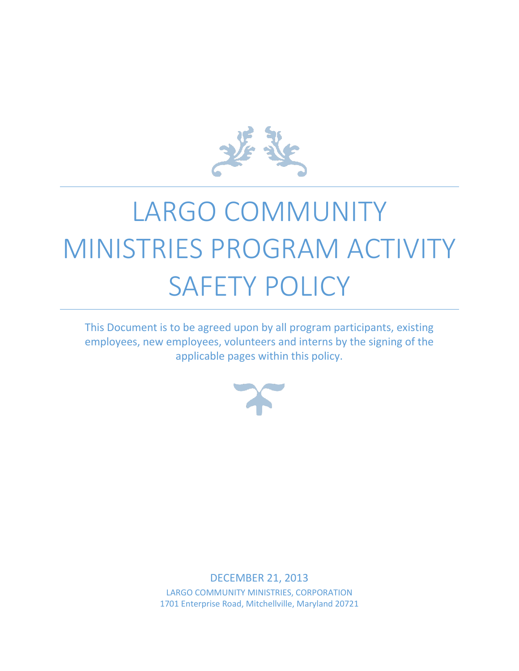

# LARGO COMMUNITY MINISTRIES PROGRAM ACTIVITY SAFETY POLICY

This Document is to be agreed upon by all program participants, existing employees, new employees, volunteers and interns by the signing of the applicable pages within this policy.



DECEMBER 21, 2013 LARGO COMMUNITY MINISTRIES, CORPORATION 1701 Enterprise Road, Mitchellville, Maryland 20721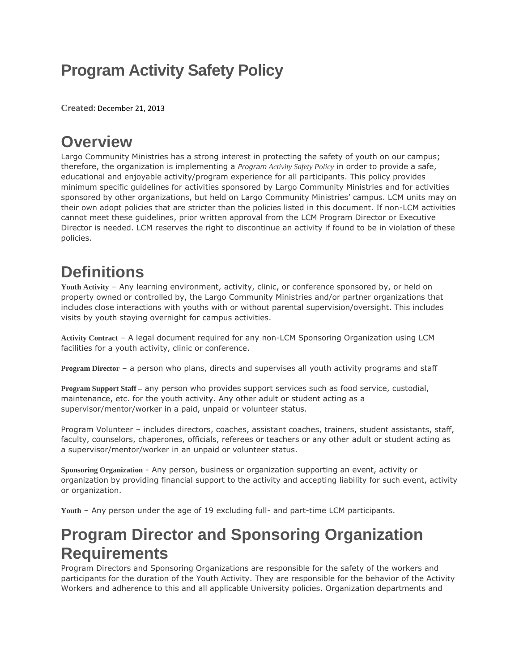## **Program Activity Safety Policy**

**Created:** December 21, 2013

### **Overview**

Largo Community Ministries has a strong interest in protecting the safety of youth on our campus; therefore, the organization is implementing a *Program Activity Safety Policy* in order to provide a safe, educational and enjoyable activity/program experience for all participants. This policy provides minimum specific guidelines for activities sponsored by Largo Community Ministries and for activities sponsored by other organizations, but held on Largo Community Ministries' campus. LCM units may on their own adopt policies that are stricter than the policies listed in this document. If non-LCM activities cannot meet these guidelines, prior written approval from the LCM Program Director or Executive Director is needed. LCM reserves the right to discontinue an activity if found to be in violation of these policies.

## **Definitions**

**Youth Activity** – Any learning environment, activity, clinic, or conference sponsored by, or held on property owned or controlled by, the Largo Community Ministries and/or partner organizations that includes close interactions with youths with or without parental supervision/oversight. This includes visits by youth staying overnight for campus activities.

**Activity Contract** – A legal document required for any non-LCM Sponsoring Organization using LCM facilities for a youth activity, clinic or conference.

**Program Director** – a person who plans, directs and supervises all youth activity programs and staff

**Program Support Staff –** any person who provides support services such as food service, custodial, maintenance, etc. for the youth activity. Any other adult or student acting as a supervisor/mentor/worker in a paid, unpaid or volunteer status.

Program Volunteer – includes directors, coaches, assistant coaches, trainers, student assistants, staff, faculty, counselors, chaperones, officials, referees or teachers or any other adult or student acting as a supervisor/mentor/worker in an unpaid or volunteer status.

**Sponsoring Organization** - Any person, business or organization supporting an event, activity or organization by providing financial support to the activity and accepting liability for such event, activity or organization.

**Youth** – Any person under the age of 19 excluding full- and part-time LCM participants.

### **Program Director and Sponsoring Organization Requirements**

Program Directors and Sponsoring Organizations are responsible for the safety of the workers and participants for the duration of the Youth Activity. They are responsible for the behavior of the Activity Workers and adherence to this and all applicable University policies. Organization departments and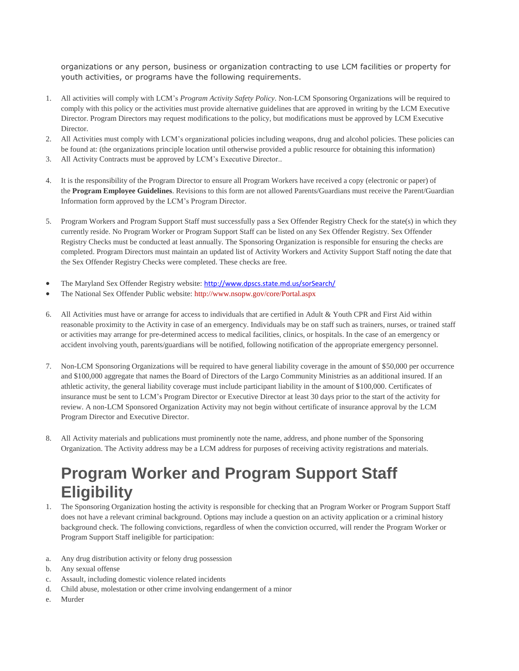organizations or any person, business or organization contracting to use LCM facilities or property for youth activities, or programs have the following requirements.

- 1. All activities will comply with LCM's *Program Activity Safety Policy*. Non-LCM Sponsoring Organizations will be required to comply with this policy or the activities must provide alternative guidelines that are approved in writing by the LCM Executive Director. Program Directors may request modifications to the policy, but modifications must be approved by LCM Executive Director.
- 2. All Activities must comply with LCM's organizational policies including weapons, drug and alcohol policies. These policies can be found at: (the organizations principle location until otherwise provided a public resource for obtaining this information)
- 3. All Activity Contracts must be approved by LCM's Executive Director..
- 4. It is the responsibility of the Program Director to ensure all Program Workers have received a copy (electronic or paper) of the **Program Employee Guidelines**. Revisions to this form are not allowed Parents/Guardians must receive the Parent/Guardian Information form approved by the LCM's Program Director.
- 5. Program Workers and Program Support Staff must successfully pass a Sex Offender Registry Check for the state(s) in which they currently reside. No Program Worker or Program Support Staff can be listed on any Sex Offender Registry. Sex Offender Registry Checks must be conducted at least annually. The Sponsoring Organization is responsible for ensuring the checks are completed. Program Directors must maintain an updated list of Activity Workers and Activity Support Staff noting the date that the Sex Offender Registry Checks were completed. These checks are free.
- The Maryland Sex Offender Registry website: <http://www.dpscs.state.md.us/sorSearch/>
- The National Sex Offender Public website: <http://www.nsopw.gov/core/Portal.aspx>
- 6. All Activities must have or arrange for access to individuals that are certified in Adult & Youth CPR and First Aid within reasonable proximity to the Activity in case of an emergency. Individuals may be on staff such as trainers, nurses, or trained staff or activities may arrange for pre-determined access to medical facilities, clinics, or hospitals. In the case of an emergency or accident involving youth, parents/guardians will be notified, following notification of the appropriate emergency personnel.
- 7. Non-LCM Sponsoring Organizations will be required to have general liability coverage in the amount of \$50,000 per occurrence and \$100,000 aggregate that names the Board of Directors of the Largo Community Ministries as an additional insured. If an athletic activity, the general liability coverage must include participant liability in the amount of \$100,000. Certificates of insurance must be sent to LCM's Program Director or Executive Director at least 30 days prior to the start of the activity for review. A non-LCM Sponsored Organization Activity may not begin without certificate of insurance approval by the LCM Program Director and Executive Director.
- 8. All Activity materials and publications must prominently note the name, address, and phone number of the Sponsoring Organization. The Activity address may be a LCM address for purposes of receiving activity registrations and materials.

### **Program Worker and Program Support Staff Eligibility**

- 1. The Sponsoring Organization hosting the activity is responsible for checking that an Program Worker or Program Support Staff does not have a relevant criminal background. Options may include a question on an activity application or a criminal history background check. The following convictions, regardless of when the conviction occurred, will render the Program Worker or Program Support Staff ineligible for participation:
- a. Any drug distribution activity or felony drug possession
- b. Any sexual offense
- c. Assault, including domestic violence related incidents
- d. Child abuse, molestation or other crime involving endangerment of a minor
- e. Murder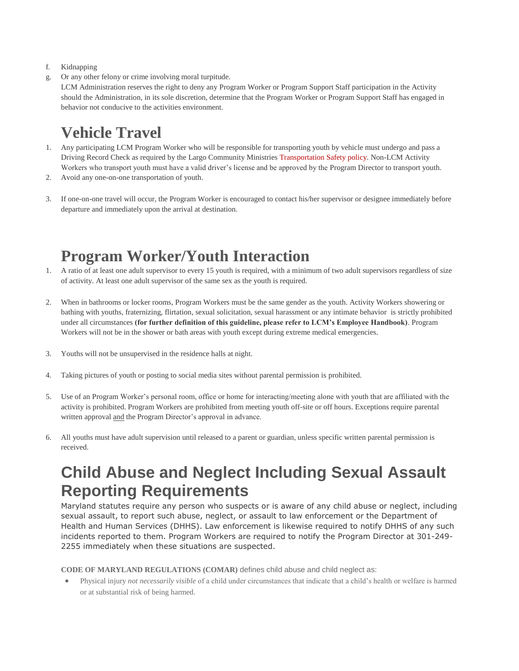- f. Kidnapping
- g. Or any other felony or crime involving moral turpitude.

LCM Administration reserves the right to deny any Program Worker or Program Support Staff participation in the Activity should the Administration, in its sole discretion, determine that the Program Worker or Program Support Staff has engaged in behavior not conducive to the activities environment.

## **Vehicle Travel**

- 1. Any participating LCM Program Worker who will be responsible for transporting youth by vehicle must undergo and pass a Driving Record Check as required by the Largo Community Ministries [Transportation](http://transportation.unl.edu/policies/) Safety policy. Non-LCM Activity Workers who transport youth must have a valid driver's license and be approved by the Program Director to transport youth.
- 2. Avoid any one-on-one transportation of youth.
- 3. If one-on-one travel will occur, the Program Worker is encouraged to contact his/her supervisor or designee immediately before departure and immediately upon the arrival at destination.

#### **Program Worker/Youth Interaction**

- 1. A ratio of at least one adult supervisor to every 15 youth is required, with a minimum of two adult supervisors regardless of size of activity. At least one adult supervisor of the same sex as the youth is required.
- 2. When in bathrooms or locker rooms, Program Workers must be the same gender as the youth. Activity Workers showering or bathing with youths, fraternizing, flirtation, sexual solicitation, sexual harassment or any intimate behavior is strictly prohibited under all circumstances **(for further definition of this guideline, please refer to LCM's Employee Handbook)**. Program Workers will not be in the shower or bath areas with youth except during extreme medical emergencies.
- 3. Youths will not be unsupervised in the residence halls at night.
- 4. Taking pictures of youth or posting to social media sites without parental permission is prohibited.
- 5. Use of an Program Worker's personal room, office or home for interacting/meeting alone with youth that are affiliated with the activity is prohibited. Program Workers are prohibited from meeting youth off-site or off hours. Exceptions require parental written approval and the Program Director's approval in advance.
- 6. All youths must have adult supervision until released to a parent or guardian, unless specific written parental permission is received.

#### **Child Abuse and Neglect Including Sexual Assault Reporting Requirements**

Maryland statutes require any person who suspects or is aware of any child abuse or neglect, including sexual assault, to report such abuse, neglect, or assault to law enforcement or the Department of Health and Human Services (DHHS). Law enforcement is likewise required to notify DHHS of any such incidents reported to them. Program Workers are required to notify the Program Director at 301-249- 2255 immediately when these situations are suspected.

**CODE OF MARYLAND REGULATIONS (COMAR)** defines child abuse and child neglect as:

 Physical injury *not necessarily visible* of a child under circumstances that indicate that a child's health or welfare is harmed or at substantial risk of being harmed.